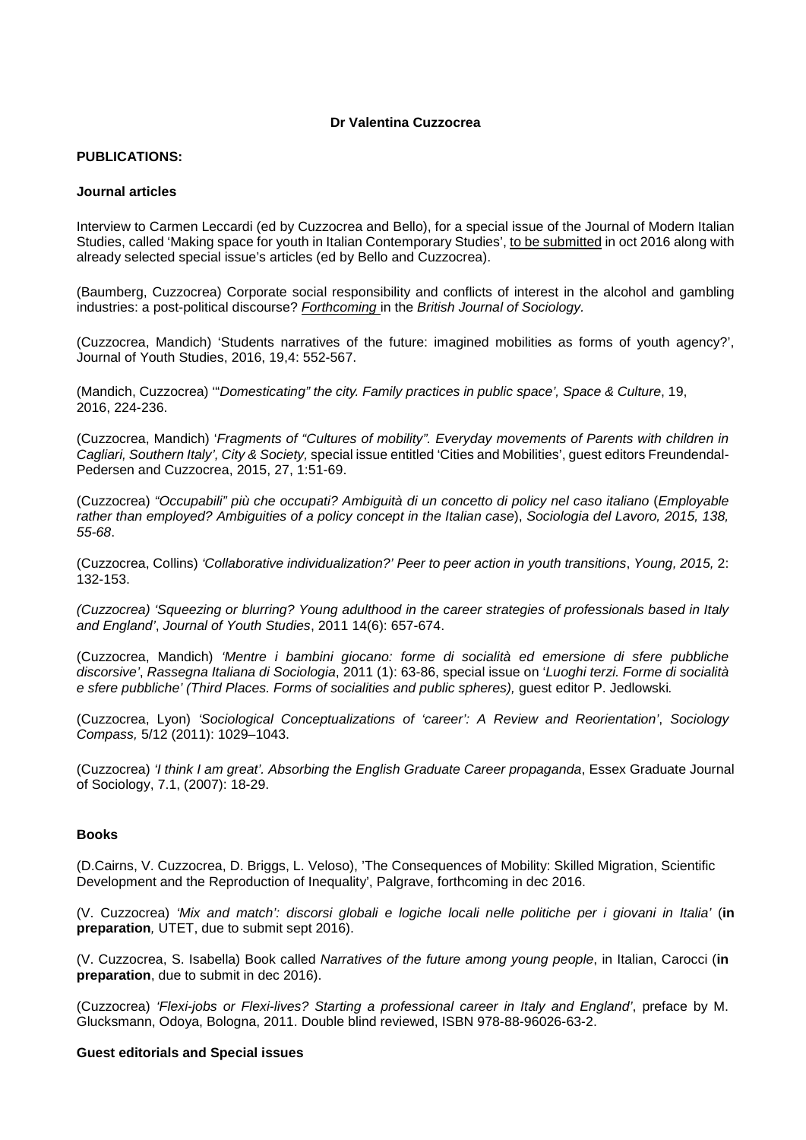# **Dr Valentina Cuzzocrea**

# **PUBLICATIONS:**

### **Journal articles**

Interview to Carmen Leccardi (ed by Cuzzocrea and Bello), for a special issue of the Journal of Modern Italian Studies, called 'Making space for youth in Italian Contemporary Studies', to be submitted in oct 2016 along with already selected special issue's articles (ed by Bello and Cuzzocrea).

(Baumberg, Cuzzocrea) Corporate social responsibility and conflicts of interest in the alcohol and gambling industries: a post-political discourse? *Forthcoming* in the *British Journal of Sociology.* 

(Cuzzocrea, Mandich) 'Students narratives of the future: imagined mobilities as forms of youth agency?', Journal of Youth Studies, 2016, 19,4: 552-567.

(Mandich, Cuzzocrea) '"*Domesticating" the city. Family practices in public space', Space & Culture*, 19, 2016, 224-236.

(Cuzzocrea, Mandich) '*Fragments of "Cultures of mobility". Everyday movements of Parents with children in Cagliari, Southern Italy', City & Society,* special issue entitled 'Cities and Mobilities', guest editors Freundendal-Pedersen and Cuzzocrea, 2015, 27, 1:51-69.

(Cuzzocrea) *"Occupabili" più che occupati? Ambiguità di un concetto di policy nel caso italiano* (*Employable rather than employed? Ambiguities of a policy concept in the Italian case*), *Sociologia del Lavoro, 2015, 138, 55-68*.

(Cuzzocrea, Collins) *'Collaborative individualization?' Peer to peer action in youth transitions*, *Young, 2015,* 2: 132-153.

*(Cuzzocrea) 'Squeezing or blurring? Young adulthood in the career strategies of professionals based in Italy and England'*, *Journal of Youth Studies*, 2011 14(6): 657-674.

(Cuzzocrea, Mandich) *'Mentre i bambini giocano: forme di socialità ed emersione di sfere pubbliche discorsive'*, *Rassegna Italiana di Sociologia*, 2011 (1): 63-86, special issue on '*Luoghi terzi. Forme di socialità e sfere pubbliche' (Third Places. Forms of socialities and public spheres),* guest editor P. Jedlowski*.* 

(Cuzzocrea, Lyon) *'Sociological Conceptualizations of 'career': A Review and Reorientation'*, *Sociology Compass,* 5/12 (2011): 1029–1043.

(Cuzzocrea) *'I think I am great'. Absorbing the English Graduate Career propaganda*, Essex Graduate Journal of Sociology, 7.1, (2007): 18-29.

# **Books**

(D.Cairns, V. Cuzzocrea, D. Briggs, L. Veloso), 'The Consequences of Mobility: Skilled Migration, Scientific Development and the Reproduction of Inequality', Palgrave, forthcoming in dec 2016.

(V. Cuzzocrea) *'Mix and match': discorsi globali e logiche locali nelle politiche per i giovani in Italia'* (**in preparation***,* UTET, due to submit sept 2016).

(V. Cuzzocrea, S. Isabella) Book called *Narratives of the future among young people*, in Italian, Carocci (**in preparation**, due to submit in dec 2016).

(Cuzzocrea) *'Flexi-jobs or Flexi-lives? Starting a professional career in Italy and England'*, preface by M. Glucksmann, Odoya, Bologna, 2011. Double blind reviewed, ISBN 978-88-96026-63-2.

#### **Guest editorials and Special issues**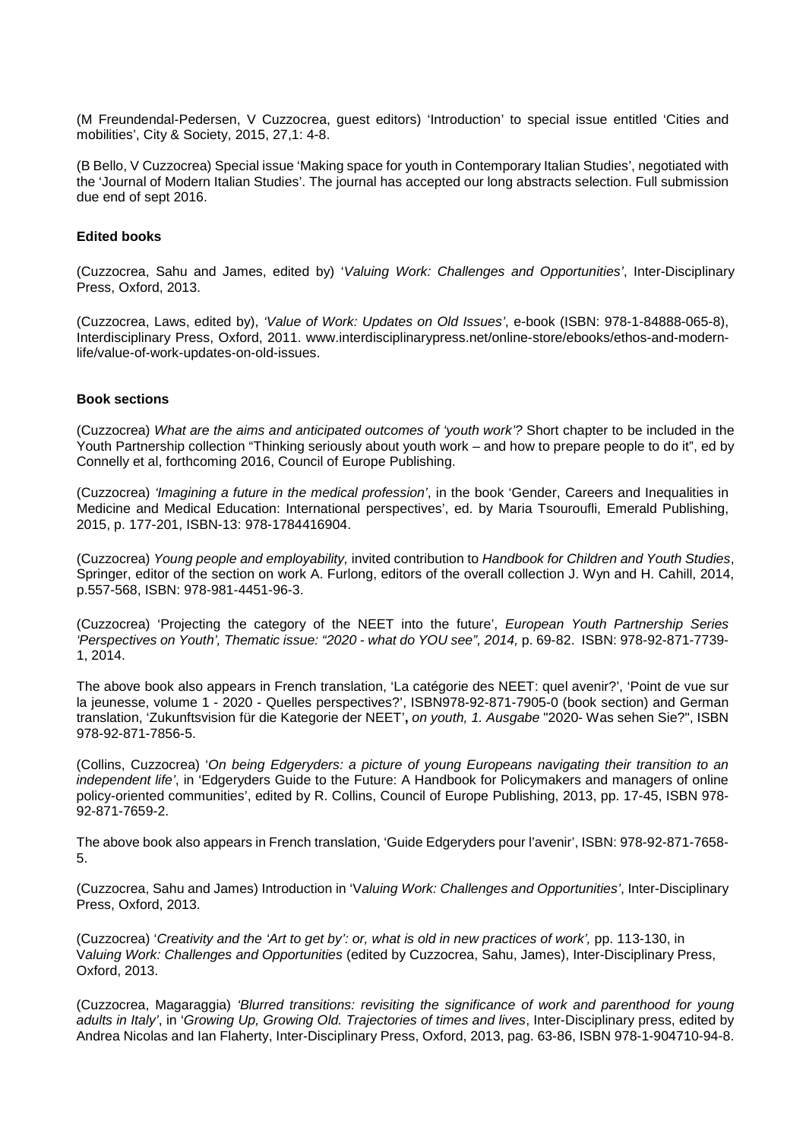(M Freundendal-Pedersen, V Cuzzocrea, guest editors) 'Introduction' to special issue entitled 'Cities and mobilities', City & Society, 2015, 27,1: 4-8.

(B Bello, V Cuzzocrea) Special issue 'Making space for youth in Contemporary Italian Studies', negotiated with the 'Journal of Modern Italian Studies'. The journal has accepted our long abstracts selection. Full submission due end of sept 2016.

### **Edited books**

(Cuzzocrea, Sahu and James, edited by) '*Valuing Work: Challenges and Opportunities'*, Inter-Disciplinary Press, Oxford, 2013.

(Cuzzocrea, Laws, edited by), *'Value of Work: Updates on Old Issues'*, e-book (ISBN: 978-1-84888-065-8), Interdisciplinary Press, Oxford, 2011. www.interdisciplinarypress.net/online-store/ebooks/ethos-and-modernlife/value-of-work-updates-on-old-issues.

#### **Book sections**

(Cuzzocrea) *What are the aims and anticipated outcomes of 'youth work'?* Short chapter to be included in the Youth Partnership collection "Thinking seriously about youth work – and how to prepare people to do it", ed by Connelly et al, forthcoming 2016, Council of Europe Publishing.

(Cuzzocrea) *'Imagining a future in the medical profession'*, in the book 'Gender, Careers and Inequalities in Medicine and Medical Education: International perspectives', ed. by Maria Tsouroufli, Emerald Publishing, 2015, p. 177-201, ISBN-13: 978-1784416904.

(Cuzzocrea) *Young people and employability,* invited contribution to *Handbook for Children and Youth Studies*, Springer, editor of the section on work A. Furlong, editors of the overall collection J. Wyn and H. Cahill, 2014, p.557-568, ISBN: 978-981-4451-96-3.

(Cuzzocrea) 'Projecting the category of the NEET into the future', *European Youth Partnership Series 'Perspectives on Youth', Thematic issue: "2020 - what do YOU see", 2014,* p. 69-82. ISBN: 978-92-871-7739- 1, 2014.

The above book also appears in French translation, 'La catégorie des NEET: quel avenir?', 'Point de vue sur la jeunesse, volume 1 - 2020 - Quelles perspectives?', ISBN978-92-871-7905-0 (book section) and German translation, 'Zukunftsvision für die Kategorie der NEET'**,** *on youth, 1. Ausgabe* "2020- Was sehen Sie?", ISBN 978-92-871-7856-5.

(Collins, Cuzzocrea) '*On being Edgeryders: a picture of young Europeans navigating their transition to an independent life'*, in 'Edgeryders Guide to the Future: A Handbook for Policymakers and managers of online policy-oriented communities', edited by R. Collins, Council of Europe Publishing, 2013, pp. 17-45, ISBN 978- 92-871-7659-2.

The above book also appears in French translation, 'Guide Edgeryders pour l'avenir', ISBN: 978-92-871-7658- 5.

(Cuzzocrea, Sahu and James) Introduction in 'V*aluing Work: Challenges and Opportunities'*, Inter-Disciplinary Press, Oxford, 2013.

(Cuzzocrea) '*Creativity and the 'Art to get by': or, what is old in new practices of work',* pp. 113-130, in V*aluing Work: Challenges and Opportunities* (edited by Cuzzocrea, Sahu, James), Inter-Disciplinary Press, Oxford, 2013.

(Cuzzocrea, Magaraggia) *'Blurred transitions: revisiting the significance of work and parenthood for young adults in Italy'*, in '*Growing Up, Growing Old. Trajectories of times and lives*, Inter-Disciplinary press, edited by Andrea Nicolas and Ian Flaherty, Inter-Disciplinary Press, Oxford, 2013, pag. 63-86, ISBN 978-1-904710-94-8.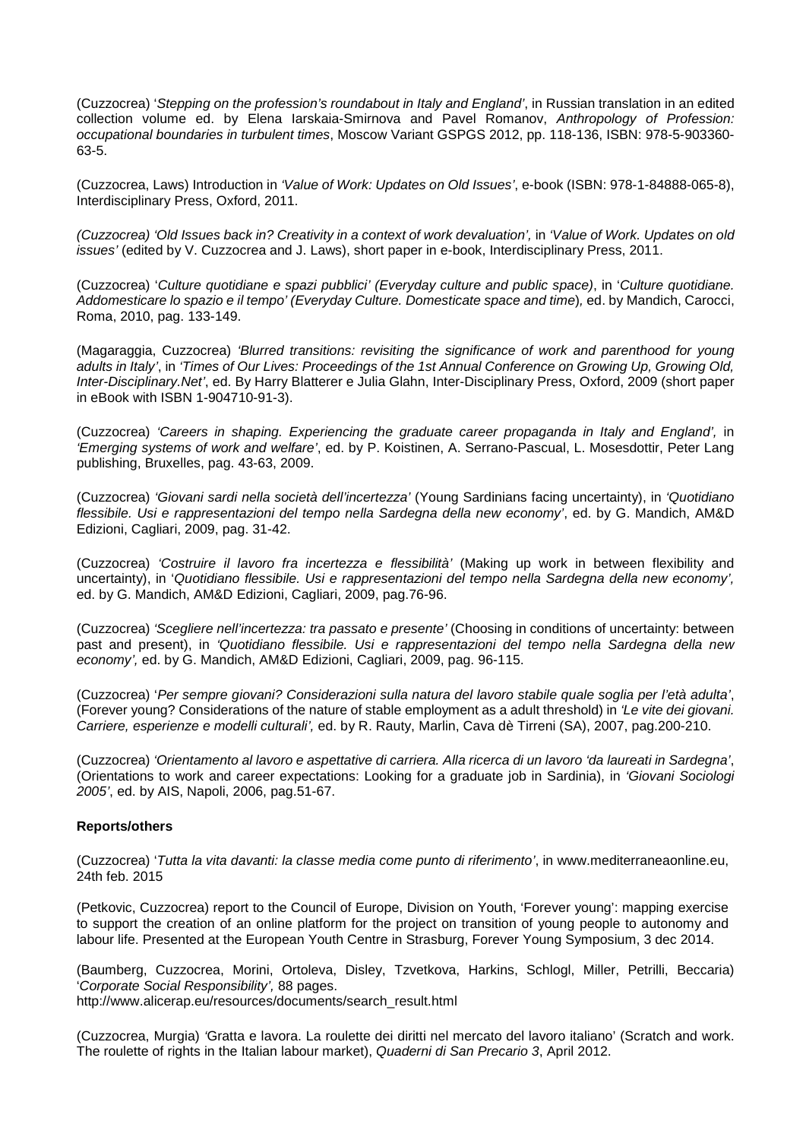(Cuzzocrea) '*Stepping on the profession's roundabout in Italy and England'*, in Russian translation in an edited collection volume ed. by Elena Iarskaia-Smirnova and Pavel Romanov, *Anthropology of Profession: occupational boundaries in turbulent times*, Moscow Variant GSPGS 2012, pp. 118-136, ISBN: 978-5-903360- 63-5.

(Cuzzocrea, Laws) Introduction in *'Value of Work: Updates on Old Issues'*, e-book (ISBN: 978-1-84888-065-8), Interdisciplinary Press, Oxford, 2011.

*(Cuzzocrea) 'Old Issues back in? Creativity in a context of work devaluation',* in *'Value of Work. Updates on old issues'* (edited by V. Cuzzocrea and J. Laws), short paper in e-book, Interdisciplinary Press, 2011.

(Cuzzocrea) '*Culture quotidiane e spazi pubblici' (Everyday culture and public space)*, in '*Culture quotidiane. Addomesticare lo spazio e il tempo' (Everyday Culture. Domesticate space and time*)*,* ed. by Mandich, Carocci, Roma, 2010, pag. 133-149.

(Magaraggia, Cuzzocrea) *'Blurred transitions: revisiting the significance of work and parenthood for young adults in Italy'*, in *'Times of Our Lives: Proceedings of the 1st Annual Conference on Growing Up, Growing Old, Inter-Disciplinary.Net'*, ed. By Harry Blatterer e Julia Glahn, Inter-Disciplinary Press, Oxford, 2009 (short paper in eBook with ISBN 1-904710-91-3).

(Cuzzocrea) *'Careers in shaping. Experiencing the graduate career propaganda in Italy and England',* in *'Emerging systems of work and welfare'*, ed. by P. Koistinen, A. Serrano-Pascual, L. Mosesdottir, Peter Lang publishing, Bruxelles, pag. 43-63, 2009.

(Cuzzocrea) *'Giovani sardi nella società dell'incertezza'* (Young Sardinians facing uncertainty), in *'Quotidiano flessibile. Usi e rappresentazioni del tempo nella Sardegna della new economy'*, ed. by G. Mandich, AM&D Edizioni, Cagliari, 2009, pag. 31-42.

(Cuzzocrea) *'Costruire il lavoro fra incertezza e flessibilità'* (Making up work in between flexibility and uncertainty), in '*Quotidiano flessibile. Usi e rappresentazioni del tempo nella Sardegna della new economy',* ed. by G. Mandich, AM&D Edizioni, Cagliari, 2009, pag.76-96.

(Cuzzocrea) *'Scegliere nell'incertezza: tra passato e presente'* (Choosing in conditions of uncertainty: between past and present), in *'Quotidiano flessibile. Usi e rappresentazioni del tempo nella Sardegna della new economy',* ed. by G. Mandich, AM&D Edizioni, Cagliari, 2009, pag. 96-115.

(Cuzzocrea) '*Per sempre giovani? Considerazioni sulla natura del lavoro stabile quale soglia per l'età adulta'*, (Forever young? Considerations of the nature of stable employment as a adult threshold) in *'Le vite dei giovani. Carriere, esperienze e modelli culturali',* ed. by R. Rauty, Marlin, Cava dè Tirreni (SA), 2007, pag.200-210.

(Cuzzocrea) *'Orientamento al lavoro e aspettative di carriera. Alla ricerca di un lavoro 'da laureati in Sardegna'*, (Orientations to work and career expectations: Looking for a graduate job in Sardinia), in *'Giovani Sociologi 2005'*, ed. by AIS, Napoli, 2006, pag.51-67.

# **Reports/others**

(Cuzzocrea) '*Tutta la vita davanti: la classe media come punto di riferimento'*, in www.mediterraneaonline.eu, 24th feb. 2015

(Petkovic, Cuzzocrea) report to the Council of Europe, Division on Youth, 'Forever young': mapping exercise to support the creation of an online platform for the project on transition of young people to autonomy and labour life. Presented at the European Youth Centre in Strasburg, Forever Young Symposium, 3 dec 2014.

(Baumberg, Cuzzocrea, Morini, Ortoleva, Disley, Tzvetkova, Harkins, Schlogl, Miller, Petrilli, Beccaria) '*Corporate Social Responsibility',* 88 pages. http://www.alicerap.eu/resources/documents/search\_result.html

(Cuzzocrea, Murgia) *'*Gratta e lavora. La roulette dei diritti nel mercato del lavoro italiano' (Scratch and work. The roulette of rights in the Italian labour market), *Quaderni di San Precario 3*, April 2012.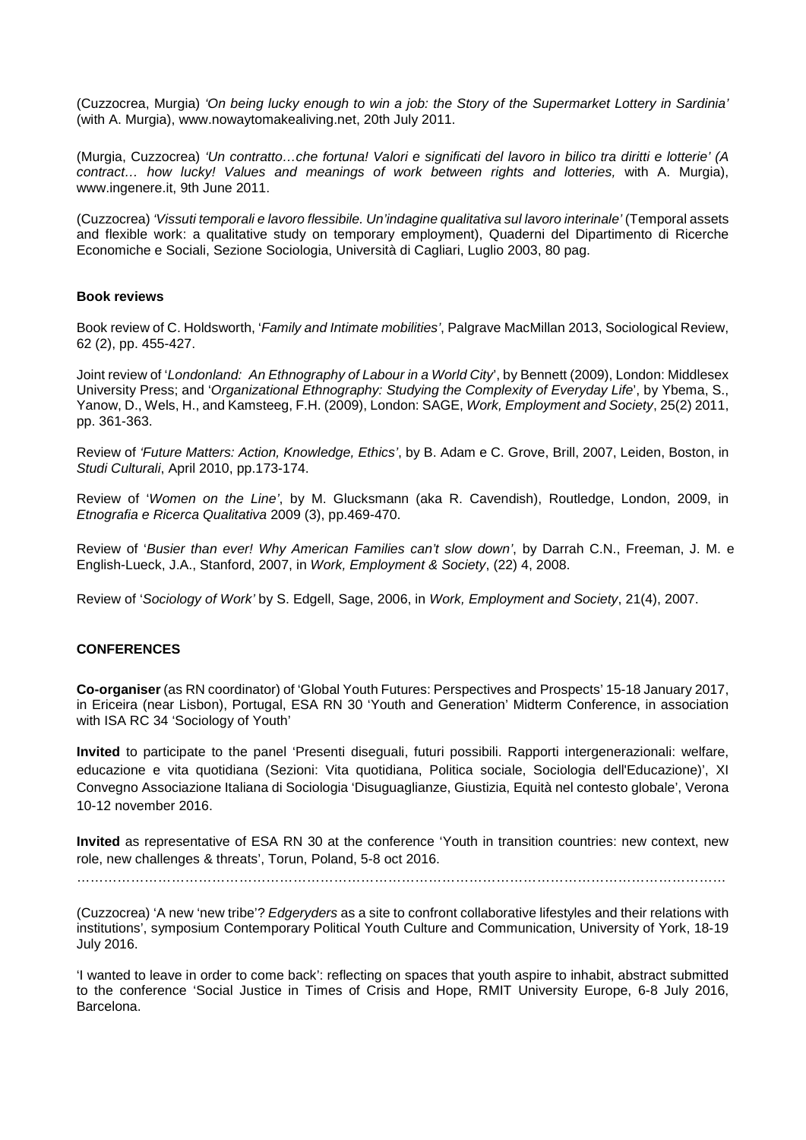(Cuzzocrea, Murgia) *'On being lucky enough to win a job: the Story of the Supermarket Lottery in Sardinia'* (with A. Murgia), www.nowaytomakealiving.net, 20th July 2011.

(Murgia, Cuzzocrea) *'Un contratto…che fortuna! Valori e significati del lavoro in bilico tra diritti e lotterie' (A contract… how lucky! Values and meanings of work between rights and lotteries,* with A. Murgia), www.ingenere.it, 9th June 2011.

(Cuzzocrea) *'Vissuti temporali e lavoro flessibile. Un'indagine qualitativa sul lavoro interinale'* (Temporal assets and flexible work: a qualitative study on temporary employment), Quaderni del Dipartimento di Ricerche Economiche e Sociali, Sezione Sociologia, Università di Cagliari, Luglio 2003, 80 pag.

# **Book reviews**

Book review of C. Holdsworth, '*Family and Intimate mobilities'*, Palgrave MacMillan 2013, Sociological Review, 62 (2), pp. 455-427.

Joint review of '*Londonland: An Ethnography of Labour in a World City*', by Bennett (2009), London: Middlesex University Press; and '*Organizational Ethnography: Studying the Complexity of Everyday Life*', by Ybema, S., Yanow, D., Wels, H., and Kamsteeg, F.H. (2009), London: SAGE, *Work, Employment and Society*, 25(2) 2011, pp. 361-363.

Review of *'Future Matters: Action, Knowledge, Ethics'*, by B. Adam e C. Grove, Brill, 2007, Leiden, Boston, in *Studi Culturali*, April 2010, pp.173-174.

Review of '*Women on the Line'*, by M. Glucksmann (aka R. Cavendish), Routledge, London, 2009, in *Etnografia e Ricerca Qualitativa* 2009 (3), pp.469-470.

Review of '*Busier than ever! Why American Families can't slow down'*, by Darrah C.N., Freeman, J. M. e English-Lueck, J.A., Stanford, 2007, in *Work, Employment & Society*, (22) 4, 2008.

Review of '*Sociology of Work'* by S. Edgell, Sage, 2006, in *Work, Employment and Society*, 21(4), 2007.

# **CONFERENCES**

**Co-organiser** (as RN coordinator) of 'Global Youth Futures: Perspectives and Prospects' 15-18 January 2017, in Ericeira (near Lisbon), Portugal, ESA RN 30 'Youth and Generation' Midterm Conference, in association with ISA RC 34 'Sociology of Youth'

**Invited** to participate to the panel 'Presenti diseguali, futuri possibili. Rapporti intergenerazionali: welfare, educazione e vita quotidiana (Sezioni: Vita quotidiana, Politica sociale, Sociologia dell'Educazione)', XI Convegno Associazione Italiana di Sociologia 'Disuguaglianze, Giustizia, Equità nel contesto globale', Verona 10-12 november 2016.

**Invited** as representative of ESA RN 30 at the conference 'Youth in transition countries: new context, new role, new challenges & threats', Torun, Poland, 5-8 oct 2016.

………………………………………………………………………………………………………………………………

(Cuzzocrea) 'A new 'new tribe'? *Edgeryders* as a site to confront collaborative lifestyles and their relations with institutions', symposium Contemporary Political Youth Culture and Communication, University of York, 18-19 July 2016.

'I wanted to leave in order to come back': reflecting on spaces that youth aspire to inhabit, abstract submitted to the conference 'Social Justice in Times of Crisis and Hope, RMIT University Europe, 6-8 July 2016, Barcelona.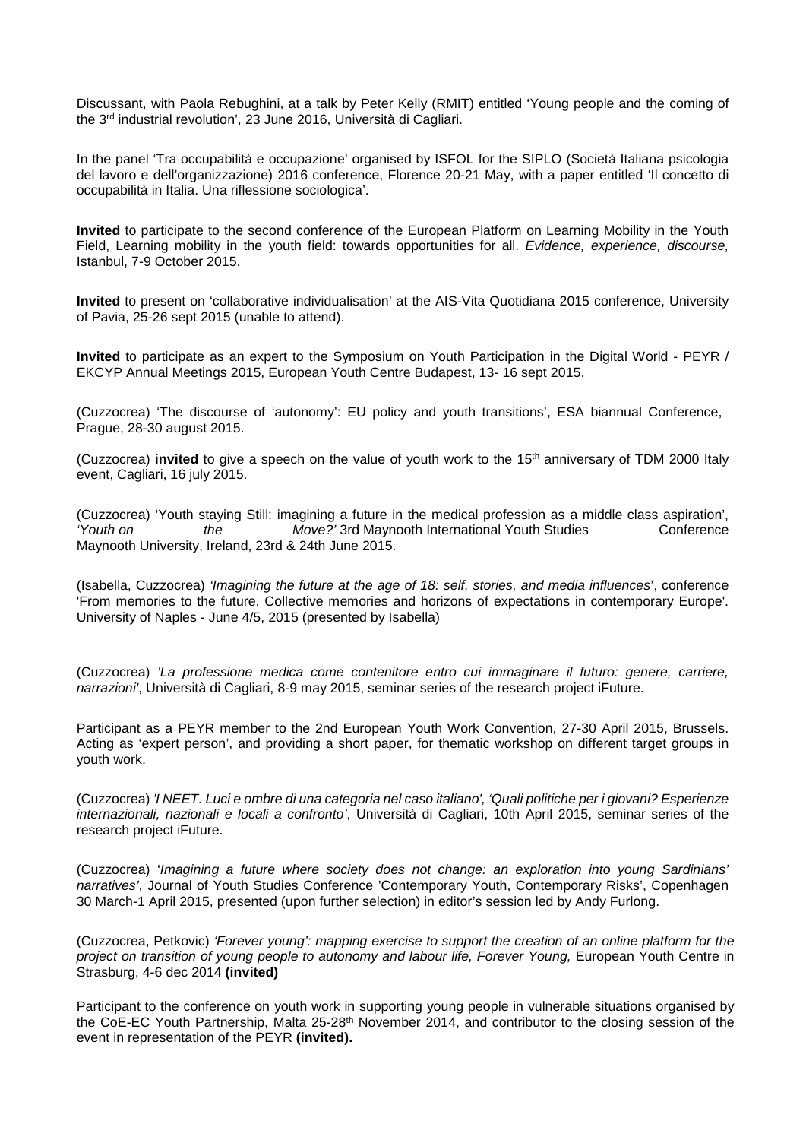Discussant, with Paola Rebughini, at a talk by Peter Kelly (RMIT) entitled 'Young people and the coming of the 3rd industrial revolution', 23 June 2016, Università di Cagliari.

In the panel 'Tra occupabilità e occupazione' organised by ISFOL for the SIPLO (Società Italiana psicologia del lavoro e dell'organizzazione) 2016 conference, Florence 20-21 May, with a paper entitled 'Il concetto di occupabilità in Italia. Una riflessione sociologica'.

**Invited** to participate to the second conference of the European Platform on Learning Mobility in the Youth Field, Learning mobility in the youth field: towards opportunities for all. *Evidence, experience, discourse,*  Istanbul, 7-9 October 2015.

**Invited** to present on 'collaborative individualisation' at the AIS-Vita Quotidiana 2015 conference, University of Pavia, 25-26 sept 2015 (unable to attend).

**Invited** to participate as an expert to the Symposium on Youth Participation in the Digital World - PEYR / EKCYP Annual Meetings 2015, European Youth Centre Budapest, 13- 16 sept 2015.

(Cuzzocrea) 'The discourse of 'autonomy': EU policy and youth transitions', ESA biannual Conference, Prague, 28-30 august 2015.

(Cuzzocrea) **invited** to give a speech on the value of youth work to the 15th anniversary of TDM 2000 Italy event, Cagliari, 16 july 2015.

(Cuzzocrea) 'Youth staying Still: imagining a future in the medical profession as a middle class aspiration', *'Youth on the Move?'* 3rd Maynooth International Youth Studies Conference Maynooth University, Ireland, 23rd & 24th June 2015.

(Isabella, Cuzzocrea) *'Imagining the future at the age of 18: self, stories, and media influences*', conference 'From memories to the future. Collective memories and horizons of expectations in contemporary Europe'. University of Naples - June 4/5, 2015 (presented by Isabella)

(Cuzzocrea) *'La professione medica come contenitore entro cui immaginare il futuro: genere, carriere, narrazioni'*, Università di Cagliari, 8-9 may 2015, seminar series of the research project iFuture.

Participant as a PEYR member to the 2nd European Youth Work Convention, 27-30 April 2015, Brussels. Acting as 'expert person', and providing a short paper, for thematic workshop on different target groups in youth work.

(Cuzzocrea) *'I NEET. Luci e ombre di una categoria nel caso italiano', 'Quali politiche per i giovani? Esperienze internazionali, nazionali e locali a confronto'*, Università di Cagliari, 10th April 2015, seminar series of the research project iFuture.

(Cuzzocrea) '*Imagining a future where society does not change: an exploration into young Sardinians' narratives'*, Journal of Youth Studies Conference 'Contemporary Youth, Contemporary Risks', Copenhagen 30 March-1 April 2015, presented (upon further selection) in editor's session led by Andy Furlong.

(Cuzzocrea, Petkovic) *'Forever young': mapping exercise to support the creation of an online platform for the*  project on transition of young people to autonomy and labour life, Forever Young, European Youth Centre in Strasburg, 4-6 dec 2014 **(invited)**

Participant to the conference on youth work in supporting young people in vulnerable situations organised by the CoE-EC Youth Partnership, Malta 25-28<sup>th</sup> November 2014, and contributor to the closing session of the event in representation of the PEYR **(invited).**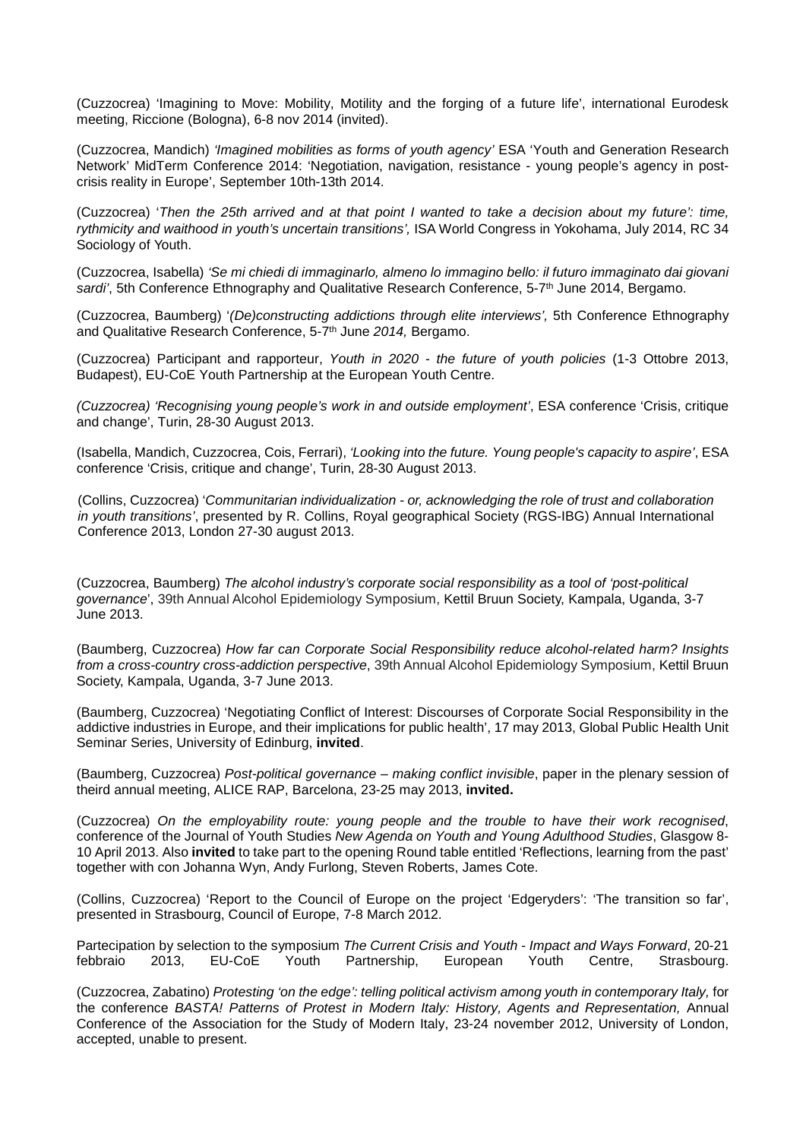(Cuzzocrea) 'Imagining to Move: Mobility, Motility and the forging of a future life', international Eurodesk meeting, Riccione (Bologna), 6-8 nov 2014 (invited).

(Cuzzocrea, Mandich) *'Imagined mobilities as forms of youth agency'* ESA 'Youth and Generation Research Network' MidTerm Conference 2014: 'Negotiation, navigation, resistance - young people's agency in postcrisis reality in Europe', September 10th-13th 2014.

(Cuzzocrea) '*Then the 25th arrived and at that point I wanted to take a decision about my future': time, rythmicity and waithood in youth's uncertain transitions'*, ISA World Congress in Yokohama, July 2014, RC 34 Sociology of Youth.

(Cuzzocrea, Isabella) *'Se mi chiedi di immaginarlo, almeno lo immagino bello: il futuro immaginato dai giovani*  sardi', 5th Conference Ethnography and Qualitative Research Conference, 5-7<sup>th</sup> June 2014, Bergamo.

(Cuzzocrea, Baumberg) '*(De)constructing addictions through elite interviews',* 5th Conference Ethnography and Qualitative Research Conference, 5-7<sup>th</sup> June 2014, Bergamo.

(Cuzzocrea) Participant and rapporteur, *Youth in 2020 - the future of youth policies* (1-3 Ottobre 2013, Budapest), EU-CoE Youth Partnership at the European Youth Centre.

*(Cuzzocrea) 'Recognising young people's work in and outside employment'*, ESA conference 'Crisis, critique and change', Turin, 28-30 August 2013.

(Isabella, Mandich, Cuzzocrea, Cois, Ferrari), *'Looking into the future. Young people's capacity to aspire'*, ESA conference 'Crisis, critique and change', Turin, 28-30 August 2013.

(Collins, Cuzzocrea) '*Communitarian individualization - or, acknowledging the role of trust and collaboration in youth transitions'*, presented by R. Collins, Royal geographical Society (RGS-IBG) Annual International Conference 2013, London 27-30 august 2013.

(Cuzzocrea, Baumberg) *The alcohol industry's corporate social responsibility as a tool of 'post-political governance*', 39th Annual Alcohol Epidemiology Symposium, Kettil Bruun Society, Kampala, Uganda, 3-7 June 2013.

(Baumberg, Cuzzocrea) *How far can Corporate Social Responsibility reduce alcohol-related harm? Insights from a cross-country cross-addiction perspective*, 39th Annual Alcohol Epidemiology Symposium, Kettil Bruun Society, Kampala, Uganda, 3-7 June 2013.

(Baumberg, Cuzzocrea) 'Negotiating Conflict of Interest: Discourses of Corporate Social Responsibility in the addictive industries in Europe, and their implications for public health', 17 may 2013, Global Public Health Unit Seminar Series, University of Edinburg, **invited**.

(Baumberg, Cuzzocrea) *Post-political governance – making conflict invisible*, paper in the plenary session of theird annual meeting, ALICE RAP, Barcelona, 23-25 may 2013, **invited.**

(Cuzzocrea) *On the employability route: young people and the trouble to have their work recognised*, conference of the Journal of Youth Studies *New Agenda on Youth and Young Adulthood Studies*, Glasgow 8- 10 April 2013. Also **invited** to take part to the opening Round table entitled 'Reflections, learning from the past' together with con Johanna Wyn, Andy Furlong, Steven Roberts, James Cote.

(Collins, Cuzzocrea) 'Report to the Council of Europe on the project 'Edgeryders': 'The transition so far', presented in Strasbourg, Council of Europe, 7-8 March 2012.

Partecipation by selection to the symposium *The Current Crisis and Youth - Impact and Ways Forward*, 20-21 febbraio 2013, EU-CoE Youth Partnership, European Youth Centre, Strasbourg.

(Cuzzocrea, Zabatino) *Protesting 'on the edge': telling political activism among youth in contemporary Italy,* for the conference *BASTA! Patterns of Protest in Modern Italy: History, Agents and Representation,* Annual Conference of the Association for the Study of Modern Italy, 23-24 november 2012, University of London, accepted, unable to present.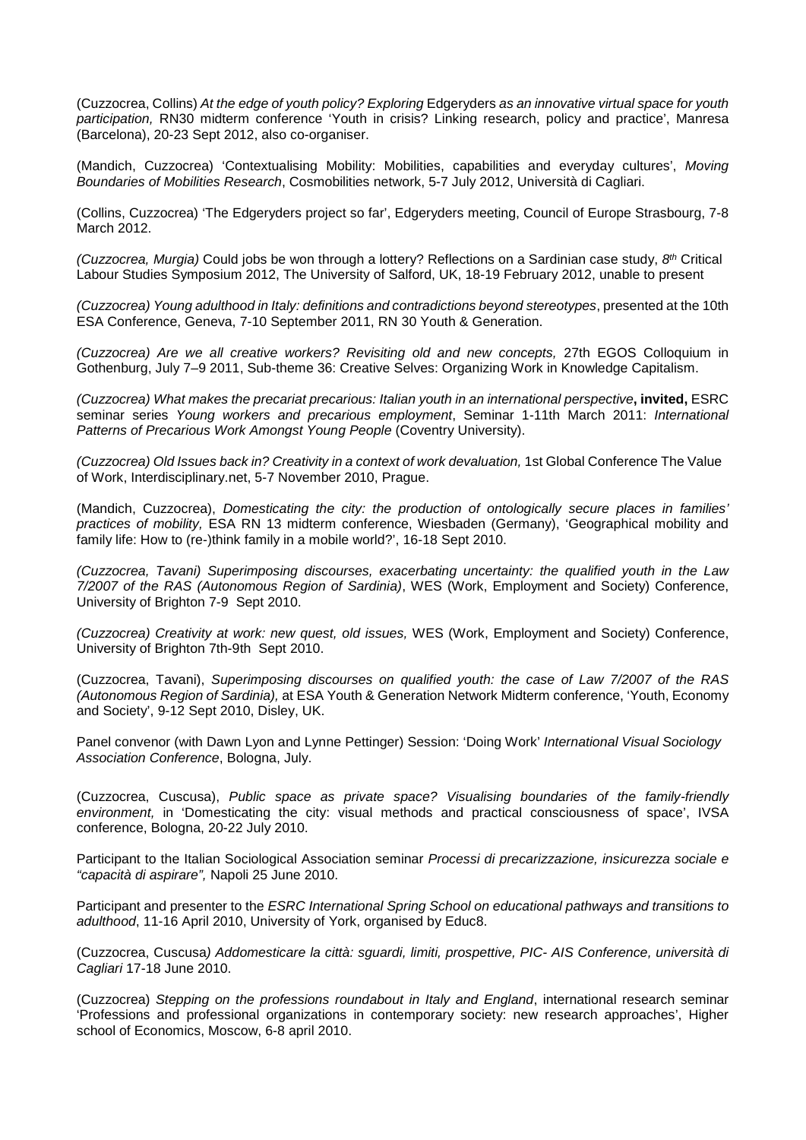(Cuzzocrea, Collins) *At the edge of youth policy? Exploring* Edgeryders *as an innovative virtual space for youth participation,* RN30 midterm conference 'Youth in crisis? Linking research, policy and practice', Manresa (Barcelona), 20-23 Sept 2012, also co-organiser.

(Mandich, Cuzzocrea) 'Contextualising Mobility: Mobilities, capabilities and everyday cultures', *Moving Boundaries of Mobilities Research*, Cosmobilities network, 5-7 July 2012, Università di Cagliari.

(Collins, Cuzzocrea) 'The Edgeryders project so far', Edgeryders meeting, Council of Europe Strasbourg, 7-8 March 2012.

*(Cuzzocrea, Murgia)* Could jobs be won through a lottery? Reflections on a Sardinian case study, *8th* Critical Labour Studies Symposium 2012, The University of Salford, UK, 18-19 February 2012, unable to present

*(Cuzzocrea) Young adulthood in Italy: definitions and contradictions beyond stereotypes*, presented at the 10th ESA Conference, Geneva, 7-10 September 2011, RN 30 Youth & Generation.

*(Cuzzocrea) Are we all creative workers? Revisiting old and new concepts,* 27th EGOS Colloquium in Gothenburg, July 7–9 2011, Sub-theme 36: Creative Selves: Organizing Work in Knowledge Capitalism.

*(Cuzzocrea) What makes the precariat precarious: Italian youth in an international perspective***, invited,** ESRC seminar series *Young workers and precarious employment*, Seminar 1*-*11th March 2011: *International Patterns of Precarious Work Amongst Young People* (Coventry University).

*(Cuzzocrea) Old Issues back in? Creativity in a context of work devaluation, 1st Global Conference The Value* of Work, Interdisciplinary.net, 5-7 November 2010, Prague.

(Mandich, Cuzzocrea), *Domesticating the city: the production of ontologically secure places in families' practices of mobility,* ESA RN 13 midterm conference, Wiesbaden (Germany), 'Geographical mobility and family life: How to (re-)think family in a mobile world?', 16-18 Sept 2010.

*(Cuzzocrea, Tavani) Superimposing discourses, exacerbating uncertainty: the qualified youth in the Law 7/2007 of the RAS (Autonomous Region of Sardinia)*, WES (Work, Employment and Society) Conference, University of Brighton 7-9 Sept 2010.

*(Cuzzocrea) Creativity at work: new quest, old issues,* WES (Work, Employment and Society) Conference, University of Brighton 7th-9th Sept 2010.

(Cuzzocrea, Tavani), *Superimposing discourses on qualified youth: the case of Law 7/2007 of the RAS (Autonomous Region of Sardinia),* at ESA Youth & Generation Network Midterm conference, 'Youth, Economy and Society', 9-12 Sept 2010, Disley, UK.

Panel convenor (with Dawn Lyon and Lynne Pettinger) Session: 'Doing Work' *International Visual Sociology Association Conference*, Bologna, July.

(Cuzzocrea, Cuscusa), *Public space as private space? Visualising boundaries of the family-friendly environment,* in 'Domesticating the city: visual methods and practical consciousness of space', IVSA conference, Bologna, 20-22 July 2010.

Participant to the Italian Sociological Association seminar *Processi di precarizzazione, insicurezza sociale e "capacità di aspirare",* Napoli 25 June 2010.

Participant and presenter to the *ESRC International Spring School on educational pathways and transitions to adulthood*, 11-16 April 2010, University of York, organised by Educ8.

(Cuzzocrea, Cuscusa*) Addomesticare la città: sguardi, limiti, prospettive, PIC- AIS Conference, università di Cagliari* 17-18 June 2010.

(Cuzzocrea) *Stepping on the professions roundabout in Italy and England*, international research seminar 'Professions and professional organizations in contemporary society: new research approaches', Higher school of Economics, Moscow, 6-8 april 2010.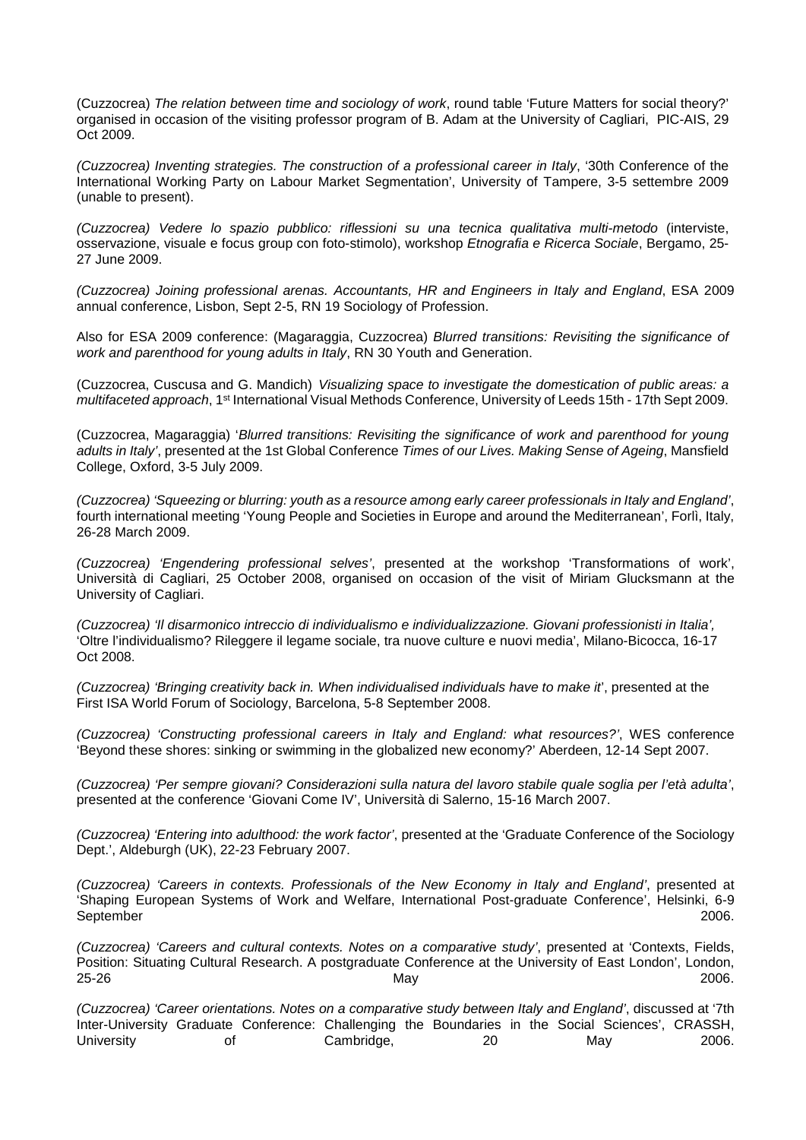(Cuzzocrea) *The relation between time and sociology of work*, round table 'Future Matters for social theory?' organised in occasion of the visiting professor program of B. Adam at the University of Cagliari, PIC-AIS, 29 Oct 2009.

*(Cuzzocrea) Inventing strategies. The construction of a professional career in Italy*, '30th Conference of the International Working Party on Labour Market Segmentation', University of Tampere, 3-5 settembre 2009 (unable to present).

*(Cuzzocrea) Vedere lo spazio pubblico: riflessioni su una tecnica qualitativa multi-metodo* (interviste, osservazione, visuale e focus group con foto-stimolo), workshop *Etnografia e Ricerca Sociale*, Bergamo, 25- 27 June 2009.

*(Cuzzocrea) Joining professional arenas. Accountants, HR and Engineers in Italy and England*, ESA 2009 annual conference, Lisbon, Sept 2-5, RN 19 Sociology of Profession.

Also for ESA 2009 conference: (Magaraggia, Cuzzocrea) *Blurred transitions: Revisiting the significance of work and parenthood for young adults in Italy*, RN 30 Youth and Generation.

(Cuzzocrea, Cuscusa and G. Mandich) *Visualizing space to investigate the domestication of public areas: a multifaceted approach*, 1st International Visual Methods Conference, University of Leeds 15th - 17th Sept 2009.

(Cuzzocrea, Magaraggia) '*Blurred transitions: Revisiting the significance of work and parenthood for young adults in Italy'*, presented at the 1st Global Conference *Times of our Lives. Making Sense of Ageing*, Mansfield College, Oxford, 3-5 July 2009.

*(Cuzzocrea) 'Squeezing or blurring: youth as a resource among early career professionals in Italy and England'*, fourth international meeting 'Young People and Societies in Europe and around the Mediterranean', Forlì, Italy, 26-28 March 2009.

*(Cuzzocrea) 'Engendering professional selves'*, presented at the workshop 'Transformations of work', Università di Cagliari, 25 October 2008, organised on occasion of the visit of Miriam Glucksmann at the University of Cagliari.

*(Cuzzocrea) 'Il disarmonico intreccio di individualismo e individualizzazione. Giovani professionisti in Italia',* 'Oltre l'individualismo? Rileggere il legame sociale, tra nuove culture e nuovi media', Milano-Bicocca, 16-17 Oct 2008.

*(Cuzzocrea) 'Bringing creativity back in. When individualised individuals have to make it*', presented at the First ISA World Forum of Sociology, Barcelona, 5-8 September 2008.

*(Cuzzocrea) 'Constructing professional careers in Italy and England: what resources?'*, WES conference 'Beyond these shores: sinking or swimming in the globalized new economy?' Aberdeen, 12-14 Sept 2007.

*(Cuzzocrea) 'Per sempre giovani? Considerazioni sulla natura del lavoro stabile quale soglia per l'età adulta'*, presented at the conference 'Giovani Come IV', Università di Salerno, 15-16 March 2007.

*(Cuzzocrea) 'Entering into adulthood: the work factor'*, presented at the 'Graduate Conference of the Sociology Dept.', Aldeburgh (UK), 22-23 February 2007.

*(Cuzzocrea) 'Careers in contexts. Professionals of the New Economy in Italy and England'*, presented at 'Shaping European Systems of Work and Welfare, International Post-graduate Conference', Helsinki, 6-9 September 2006.

*(Cuzzocrea) 'Careers and cultural contexts. Notes on a comparative study'*, presented at 'Contexts, Fields, Position: Situating Cultural Research. A postgraduate Conference at the University of East London', London,<br>2006. 25-26 May 2006.

*(Cuzzocrea) 'Career orientations. Notes on a comparative study between Italy and England'*, discussed at '7th Inter-University Graduate Conference: Challenging the Boundaries in the Social Sciences', CRASSH, University of Cambridge, 20 May 2006.